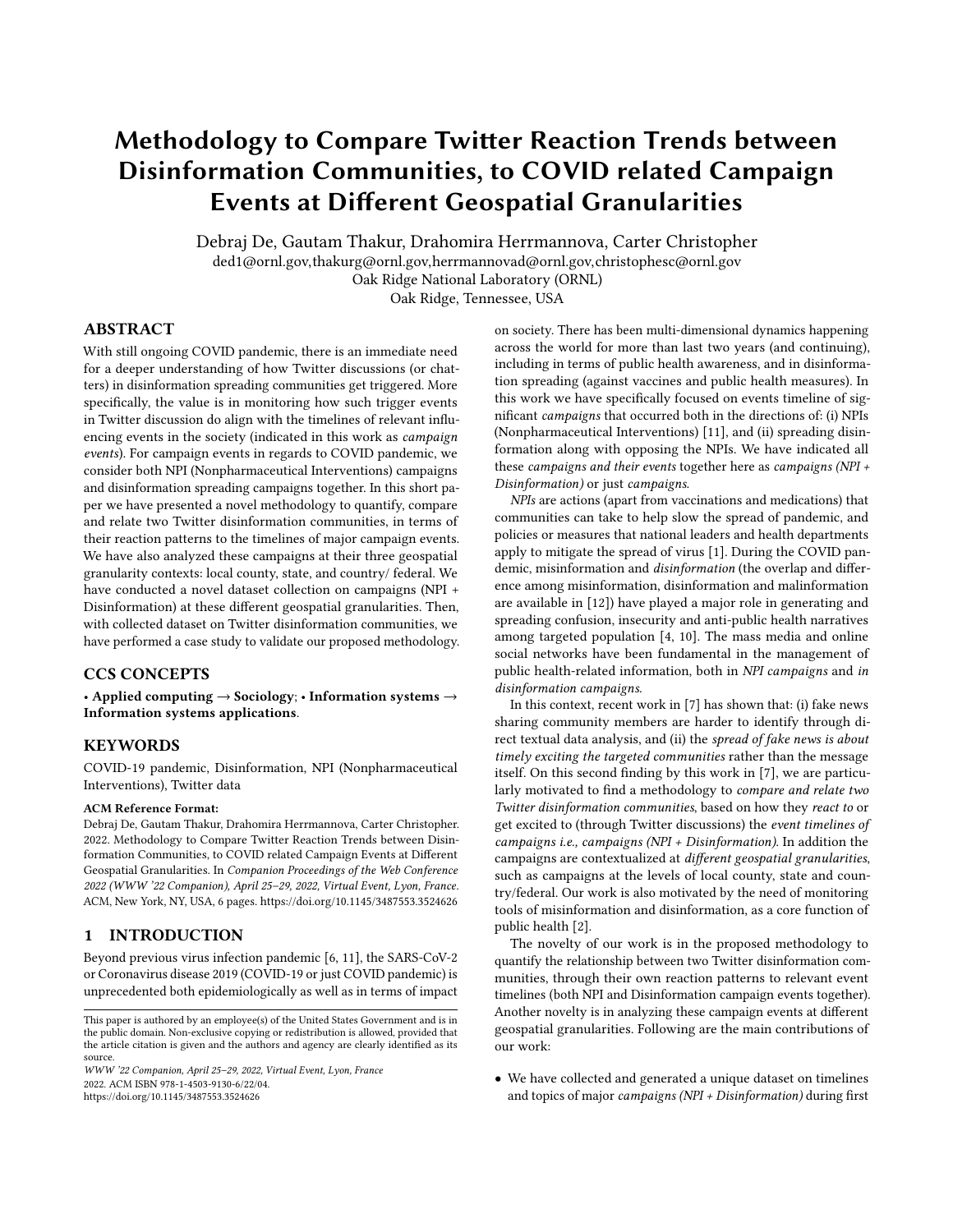# Methodology to Compare Twitter Reaction Trends between Disinformation Communities, to COVID related Campaign Events at Different Geospatial Granularities

Debraj De, Gautam Thakur, Drahomira Herrmannova, Carter Christopher

ded1@ornl.gov,thakurg@ornl.gov,herrmannovad@ornl.gov,christophesc@ornl.gov

Oak Ridge National Laboratory (ORNL)

Oak Ridge, Tennessee, USA

# ABSTRACT

With still ongoing COVID pandemic, there is an immediate need for a deeper understanding of how Twitter discussions (or chatters) in disinformation spreading communities get triggered. More specifically, the value is in monitoring how such trigger events in Twitter discussion do align with the timelines of relevant influencing events in the society (indicated in this work as campaign events). For campaign events in regards to COVID pandemic, we consider both NPI (Nonpharmaceutical Interventions) campaigns and disinformation spreading campaigns together. In this short paper we have presented a novel methodology to quantify, compare and relate two Twitter disinformation communities, in terms of their reaction patterns to the timelines of major campaign events. We have also analyzed these campaigns at their three geospatial granularity contexts: local county, state, and country/ federal. We have conducted a novel dataset collection on campaigns (NPI + Disinformation) at these different geospatial granularities. Then, with collected dataset on Twitter disinformation communities, we have performed a case study to validate our proposed methodology.

## CCS CONCEPTS

• Applied computing → Sociology; • Information systems → Information systems applications.

## KEYWORDS

COVID-19 pandemic, Disinformation, NPI (Nonpharmaceutical Interventions), Twitter data

#### ACM Reference Format:

Debraj De, Gautam Thakur, Drahomira Herrmannova, Carter Christopher. 2022. Methodology to Compare Twitter Reaction Trends between Disinformation Communities, to COVID related Campaign Events at Different Geospatial Granularities. In Companion Proceedings of the Web Conference 2022 (WWW '22 Companion), April 25–29, 2022, Virtual Event, Lyon, France. ACM, New York, NY, USA, [6](#page-5-0) pages.<https://doi.org/10.1145/3487553.3524626>

# 1 INTRODUCTION

Beyond previous virus infection pandemic [\[6,](#page-4-0) [11\]](#page-4-1), the SARS-CoV-2 or Coronavirus disease 2019 (COVID-19 or just COVID pandemic) is unprecedented both epidemiologically as well as in terms of impact

WWW '22 Companion, April 25–29, 2022, Virtual Event, Lyon, France 2022. ACM ISBN 978-1-4503-9130-6/22/04. <https://doi.org/10.1145/3487553.3524626>

on society. There has been multi-dimensional dynamics happening across the world for more than last two years (and continuing), including in terms of public health awareness, and in disinformation spreading (against vaccines and public health measures). In this work we have specifically focused on events timeline of significant campaigns that occurred both in the directions of: (i) NPIs (Nonpharmaceutical Interventions) [\[11\]](#page-4-1), and (ii) spreading disinformation along with opposing the NPIs. We have indicated all these campaigns and their events together here as campaigns (NPI + Disinformation) or just campaigns.

NPIs are actions (apart from vaccinations and medications) that communities can take to help slow the spread of pandemic, and policies or measures that national leaders and health departments apply to mitigate the spread of virus [\[1\]](#page-4-2). During the COVID pandemic, misinformation and disinformation (the overlap and difference among misinformation, disinformation and malinformation are available in [\[12\]](#page-4-3)) have played a major role in generating and spreading confusion, insecurity and anti-public health narratives among targeted population [\[4,](#page-4-4) [10\]](#page-4-5). The mass media and online social networks have been fundamental in the management of public health-related information, both in NPI campaigns and in disinformation campaigns.

In this context, recent work in [\[7\]](#page-4-6) has shown that: (i) fake news sharing community members are harder to identify through direct textual data analysis, and (ii) the spread of fake news is about timely exciting the targeted communities rather than the message itself. On this second finding by this work in [\[7\]](#page-4-6), we are particularly motivated to find a methodology to compare and relate two Twitter disinformation communities, based on how they react to or get excited to (through Twitter discussions) the event timelines of campaigns i.e., campaigns (NPI + Disinformation). In addition the campaigns are contextualized at different geospatial granularities, such as campaigns at the levels of local county, state and country/federal. Our work is also motivated by the need of monitoring tools of misinformation and disinformation, as a core function of public health [\[2\]](#page-4-7).

The novelty of our work is in the proposed methodology to quantify the relationship between two Twitter disinformation communities, through their own reaction patterns to relevant event timelines (both NPI and Disinformation campaign events together). Another novelty is in analyzing these campaign events at different geospatial granularities. Following are the main contributions of our work:

• We have collected and generated a unique dataset on timelines and topics of major campaigns (NPI + Disinformation) during first

This paper is authored by an employee(s) of the United States Government and is in the public domain. Non-exclusive copying or redistribution is allowed, provided that the article citation is given and the authors and agency are clearly identified as its source.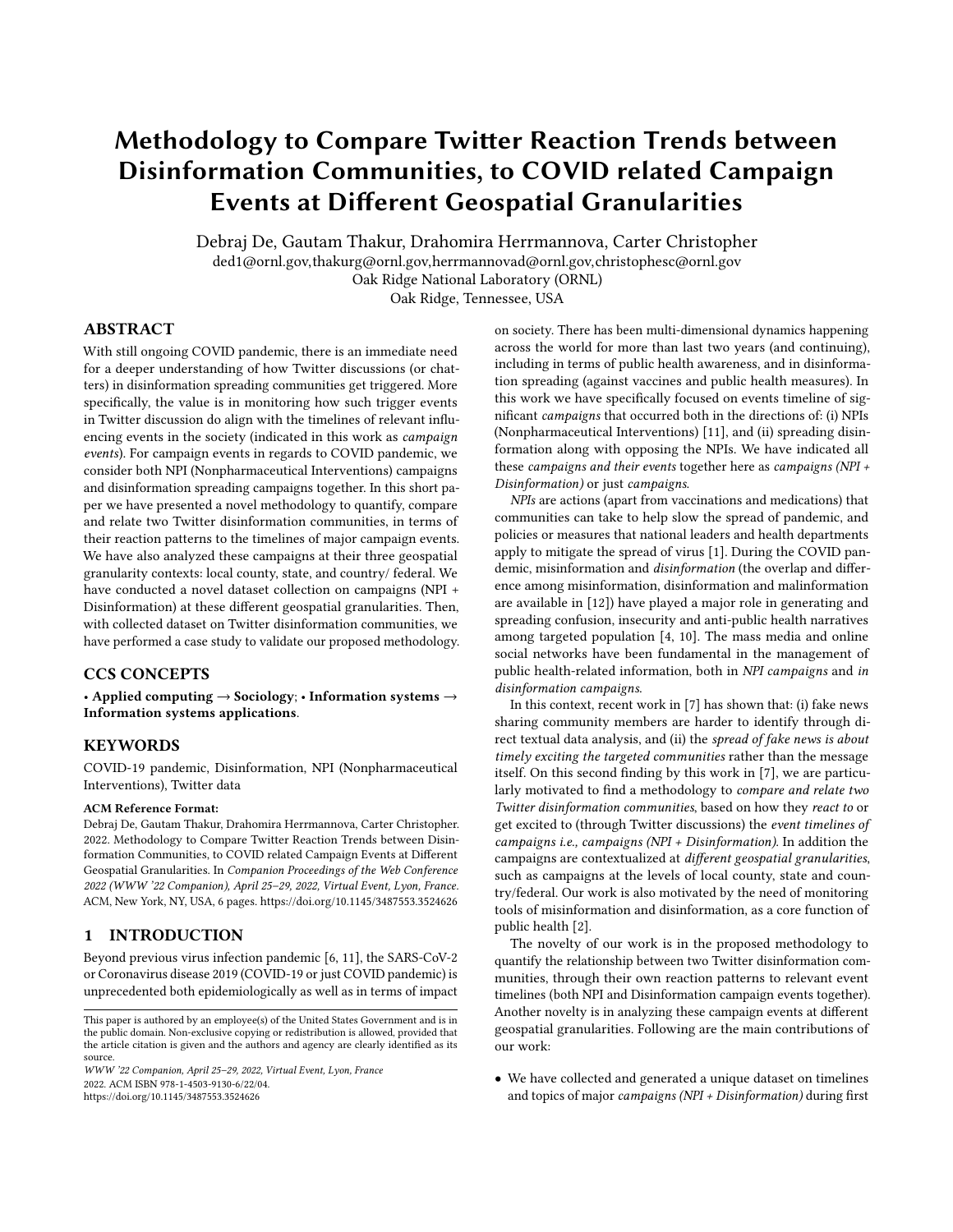16 months of the COVID pandemic, done at example of three geospatial granularity contexts: local County level (Knox, TN), State level (Tennessee), and Country/ Federal level (the U.S.).

- We have designed an algorithm that generates a relationship score on how similar (or different) are the temporal trends of social media immediate reactions (done for Twitter data) between any two Disinformation spreading communities, in regards to the timelines of different campaigns (NPI + Disinformation) (i.e., different campaigns at county, state and country level).
- We have validated our designed algorithm with illustrative case study of showing how: (A) a larger State scale (in Tennessee) organization controlled disinformation account, and (B) an individual based (or smaller organization) disinformation account (evaluated with three such accounts) in the region of eastern Tennessee, are more strongly correlated (in terms of temporal trends of social media reactions) through State level campaigns (instead of through local County level campaigns or Country/ Federal level campaigns).

It is important to note again that Twitter discussions/ chatter/ reactions regarding an account (say "@xyz") in the context of this work, means any tweet message containing keyword "@xyz"). This should contain original tweets by the account, as well as other Twitter events like relevant replies, retweets, quote messages. The rest of this paper is organized as follows. In Section [2](#page-1-0) we describe the data collection efforts, followed by our proposed algorithm in Section [3.](#page-2-0) Then in Section [4](#page-2-1) we present the data analysis and validation process. Finally we conclude this work in Section [5.](#page-3-0)

#### <span id="page-1-0"></span>2 DATA COLLECTION

In this section we describe our data collection process and properties of the generated dataset.

## 2.1 Campaigns (NPI + Disinformation) Data Collection

Our team collaborated with a team of public health domain experts and professionals to manually gather and prepare the NPI (Non-pharmaceutical Interventions) campaigns and Disinformation campaigns datasets for multiple spatial granularities context as<br>follows: (i) *county level* - say 0<?086=<sup>2>D=C</sup> (campaigns in Knox county in the state of Tennessee); (ii) state level - say  $0 < 7086 = BCOC4$ (campaigns in the state of Tennessee); and (iii) country or national level - say  $0 < 7086 = {}^{25}D = CA$  (campaigns at the national level in the U.S.). To note that this effort generated Campaigns dataset for 16 months duration, from 01/01/2020 - 04/30/2021, i.e., from beginning of COVID pandemic till about the third wave of pandemic surge. We aim to extend this Campaigns dataset to the latest time and also potentially merge other NPIs datasets in the literature (like in [\[5\]](#page-4-8)), but these are outside the scope of this paper.

Although the generated Campaigns dataset consisted of multiple fields (date of issue or event, which organization was involved, brief explanation, end date if applicable, which media/platform was used to share with the public), in our proposed algorithm we have used only the issue/event dates (and issuing administration spatial context - i.e., county or state or country). Example snapshot of Campaigns at the levels of county, state and country are later illustrated in the Appendix in Figure [10,](#page-5-1) Figure [9](#page-5-2) and Figure [11](#page-5-3) respectively. The rows highlighted with yellow color are Campaign events that our collaboration with a team of public health domain experts believed to be significant. For  $0 < 2086 = 250 = 6$  of Knox county, there were 94 individual event entries with 37 entries believed to be significant (in context of public health and also of reaction in disinformation community). For  $0 < 7086 = BCOC4$  of Tennessee, there were 54 individual event entries with 22 entries believed to be significant. For  $0 < 7086 = {}^{2D} = {}^{cA}$  of the U.S., there were 65 individual event entries with 18 entries believed to be significant.



Figure 1: Selected Campaigns (NPI + Disinformation) that our collaboration with public health experts believed to be significant. The Campaigns are at three spatial granularities context: Knox county, state of Tennessee, and the U.S. as country. The date range on the X axis is from 01/01/2020 to 04/30/2021.

## 2.2 Twitter Data Collection

Since our Campaigns dataset was collected for the duration 01/01/2020 - 04/30/2021, we have queried Twitter API (newer API V2 was used) for that same duration to collect Tweets data regarding two types of disinformation accounts or community: (A) either bigger organization based or apparently popular/ influential individual based Twitter account, who does major disinformation spreading (Covid pandemic related disinformation); and (B) smaller or local organization based or individual level Twitter accounts, who are directly exposed to the disinformation and who are actively and consistently engaged in spreading the disinformation. For the first type of disinformation account or community, for the case study we have selected the account "@tennesseestands" (referred to in this paper by account ) ) due to this paper's focus in analyzing Covid related disinformation dynamics (in reaction to the Campaigns) at the state level. For the second type of disinformation accounts or community, for the case study we have selected three accounts from the east Tennessee region. We have hidden the individual-level account information here for individual account privacy purpose, and we have referred to them in this paper as accounts  $\big)_1$  ,  $\big)_2$  ,  $\big)_3$  .

It is important to note that we have not subjectively or randomly chosen the accounts "@tennessee<br>stands",  $\big)_1$  ,  $\big)_2$  ,<br>  $\big)_3$  . We have first diligently analyzed accounts with generally anti-vaccine, anti-mask and anti-public health narratives in regards to COVID pandemic. The searching of accounts were revealed by using the keywords based on the work in [\[8\]](#page-4-9) and with geospatial area of our interest, and then verifying (chance of account being disinformation account) again based on the work in [\[9\]](#page-4-10).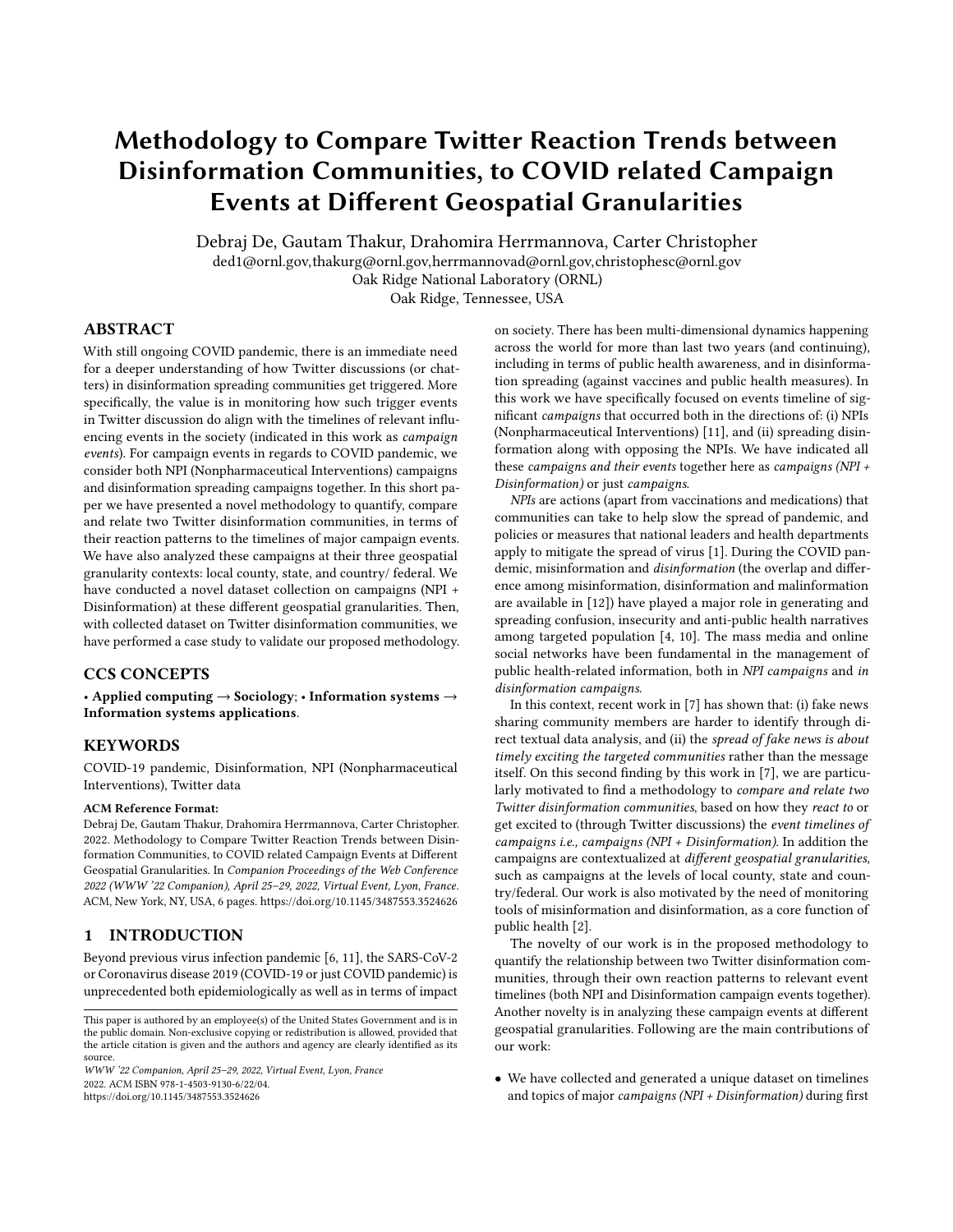Methodology to Compare Twier Reaction Trends between

Disinformation Communities, to COVID related Campaign Events at Dierent Geospatial Granularities WWW '22 Companion, April 25–29, 2022, Virtual Event, Lyon, France

To note that for each account  $\bigcup$   $\bigcup$   $\in$   $\{\bigcup$   $\cdot\bigcup_1 \cdot\bigcup_2 \cdot\bigcup_3 \}$ , the corresponding Twitter disinformation community consists of all the tweets with keyword as name of the account (e.g., keyword "@tennesseestands"). This should capture original tweets by the account, as well as other Twitter events like relevant replies, retweets, quote messages involving the account. Following are the number of tweets collected for corresponding account ) related community discussion: 10,116 for  $\big)$  ; 1,253 for  $\big)$ <sub>1</sub>; 5,991 for  $\big)$ <sub>2</sub>; 1,424 for  $\big)$ <sub>3</sub>.

#### <span id="page-2-0"></span>3 PROPOSED ALGORITHM

Algorithm 1: Proposed algorithm for computing relationship score between two Twitter communities - in context of Campaigns (NPI + Disinformation) timeline.

- Input: Twitter dataset () ) of account ) and () ) of account ) ; Campaign timeline dataset  $(0 < 7086$ =); Model parameter .
- Output: Relationship score (∈ [−1• +1]) between accounts ) and ) - in context of timeline of  $0 < 7086$ =.
- <sup>1</sup> Perform Campaign timelines based feature mapping (say ( $")$ ) of Twitter data: "() ) = (() ), where "() ) =  $\bigcup_{D \in \mathcal{F}} \bigcup_{\zeta \in Q \leq 7086} \langle D \cdot \zeta \rangle$ . Each  $\langle D \cdot \zeta \rangle$  is the count of

individual tweets  $3(D \cdot C')$  from user D and time (day/date level granularity)  $\ell \leq \ell' \leq (\ell + \cdot)$ . Each tweet entity  $\mathcal{C}_E$ 

 $3(D \cdot C')$  is from dataset ()  $= \bigcup_{D \in \mathcal{F}} \bigcup_{C' \in C}$  $\bigcup_{\mathcal{C}'\in\mathcal{C}_S}^{\mathcal{C}}3(D\cdot\mathcal{C}')$  relevant

to account ) (the community of discussions surrounding ) ).  $\ell_f$  and  $\ell$  are just the start and end date of data collection.

- 2 Similar to the above step, compute " $()$  ) =  $( () )$ .
- <sup>3</sup> Compute first principal component (PC1) of PCA (Principal Component Analysis):  $\bigcup_{\ell \in O < 7086=}$  ? ( $\ell$ ) = PC1(" () ),

0.95) (the value 0.95 indicates choosing to preserve 95% of the variability in the data).

<sup>4</sup> Similarly compute first principal component (PC1) of PCA (Principal Component Analysis):  $\bigcup_{\zeta \in O < 7086=}$  ? ( $\zeta$ ) =

PC1("() ), 0.95).

<sup>5</sup> Return Pearson's Correlation Coefficient score between  $C \in \bigcup_{C \in \{0, 2086=\}}$  ? (*C*) and  $\bigcup_{C \in \{0, 2086=\}}$  ? (*C*).

<span id="page-2-2"></span>The pseudocode of our proposed algorithm is shown in Algorithm [1.](#page-2-2) First, Twitter related input to the algorithm are the tweets dataset () ) and () ) from Twitter community regarding disinformation accounts ) and ) respectively. Each tweets dataset is  $\bigcup_{D \in \,^{\star}} \bigcup_{\mathcal{C}' \in \mathcal{C}}$  $\mathcal{C}_E$  $\bigcup_{\mathcal{C}'\in\mathcal{C}_S}^{\mathcal{C}} 3(D\cdot\mathcal{C}')$ , where  $3(D\cdot\mathcal{C}')$  is individual tweet (and its metadata) generated by user  $D$  at time  $\ell'$  (at date level granularity).  $\ell_1$  and  $\ell$  are starting and ending dates in the date range of interest for the analysis (e.g., date range from 01/01/2020 to 04/30/2021). Second, the Campaigns related input to the algorithm is the Campaigns timeline dataset  $(0 < 7086)$  belonging to the Campaign of interest (from  $0 < 7086 = 2$ , where 2 is spatial context - county/ state/ country). The

Campaigns dataset is  $\bigcup$  $\mathcal{C}_E$  $\bigcup\limits_{\mathcal{C}\in \mathcal{C}_{\mathcal{S}}}$  20<?086=( $\ell$ ), and 20<?086=( $\ell$ ) is True (or 1) for Campaign event on date  $\ell$  (only if there exists at least one issued Campaign on that date  $\ell$ ). Third, model parameters: another input to the algorithm is , which indicates days allowed after  $\ell$  till which the Twitter reactions to Campaign issued on  $\ell$  is considered. In the case study evaluation, we have used  $= 3$  days.

Now here are the computation steps in proposed algorithm. Overall, at first Twitter datasets  $()$  ) and  $()$  ) are transformed into data  $"()$  ) and  $"()$  ), based on Campaigns timeline dataset  $(0 < 2006$ =). The "() ) and "() ) are of dimension: number of users in community discussion X number of days available in Campaign timeline. Therefore, each datapoint in  $"()$  ) or  $"()$ belongs to a user, and the number of features in the datapoint is the number of dates available in Campaign timeline. This large number of features in the datapoints are then reduced by applying PCA (Principal Component Analysis), and extracting the first principal component (PC1). This PCA process generates  $\bigcup_{\ell \in O < 7006=}$  ? ( $\ell$ )

and  $\bigcup_{\mathcal{C}\in\mathcal{O}<7086=}$  ? (  $\mathcal{C}$  ) from  $\lq\lq$  ( ) and  $\lq\lq$  ( ) ) respectively. In the final step, Pearson's Correlation Coefficient is computed between

U 2 (C) and U 2 (C). This is the final computed  $C \in \begin{bmatrix} 0 < 7006 = 0 \\ 0 < 7006 = 0 \end{bmatrix}$  (C). This is the final computed relationship score between between the two Twitter disinforma-

tion communities (related to accounts ) and ) ) - in context of Campaign of interest  $0 < ?086 =$ .

#### <span id="page-2-1"></span>4 RESULTS

In this section we present validation case study.

As was presented in Section [2,](#page-1-0) we have collected Twitter reaction or discussions data surrounding larger organization level disinformation influencing Twitter account ) ("@tennesseestands" account was selected). Then for more individual or smaller organization Twitter accounts who contribute in persistent disinformation spreading, we have selected three representative accounts indicated by  $\left\langle \right\rangle _{1}$  ,  $\left\langle \right\rangle _{2}$  ,  $\left\langle \right\rangle _{3}$  from the eastern Tennessee region. We have hidden these individual-level account information here for individual account privacy purpose.

As shown in Figure [2,](#page-3-1) when feature mapped (function F(.) in Algorithm [1\)](#page-2-2) using State level Campaigns, the relationship score between each of  $\big)_{1}$  ,  $\big)_{2}$  ,  $\big)_{3}$  with the account  $\big)$  , as computed by our proposed algorithm were +0.762, +0.286, +0.735 respectively. When feature mapped using County level Campaigns, the relationship score between each of  $\big)_1$  ,  $\big)_2$  ,  $\big)_3\,$  with the account  $\big)_-$  , as computed by our proposed algorithm were +0.721, -0.026, +0.215 respectively. Finally when feature mapped using Country/Federal level Campaigns, the relationship score between each of  $\big)_1$  ,  $\big)_2$  ,  $\big)_3$ with the account ) , as computed by our proposed algorithm were +0.454, -0.296, +0.133 respectively.

Therefore, as illustrated in Figure [2,](#page-3-1) it was observed that Twitter reactions/discussions surrounding all of the accounts  $\big)_1$  ,  $\big)_2$  ,  $\big)_3$ were most strongly correlated with the account ) , when Campaigns features selected is the State level Campaigns (here the NPIs issued from the government and health department of the state of Tennessee, campaigns also include disinformation community activity events). This is validated by the logic that the community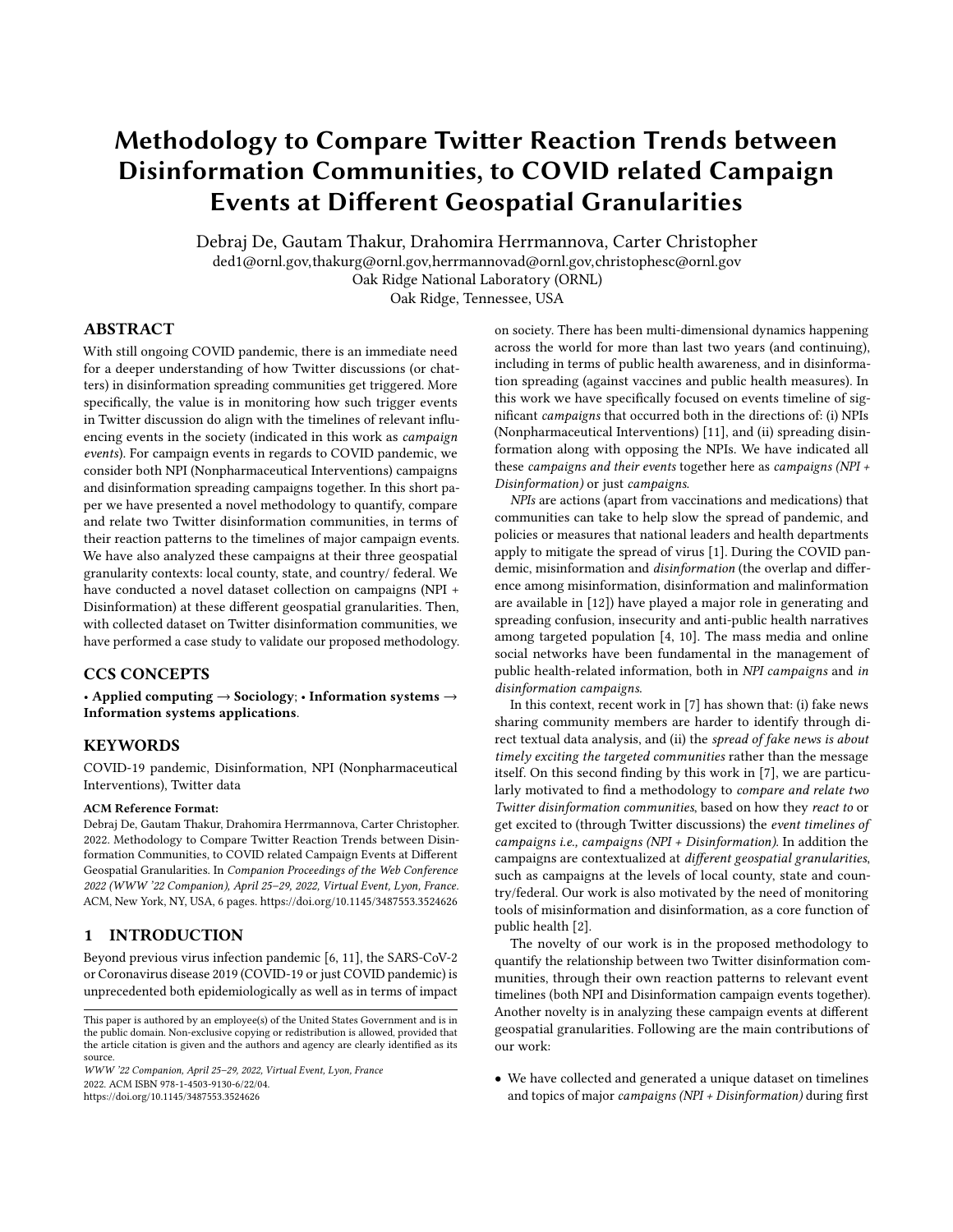WWW '22 Companion, April 25–29, 2022, Virtual Event, Lyon, France De and Thakur, et al. De and Thakur, et al.

<span id="page-3-1"></span>

Figure 2: Computed relationship score between each pair of disinformation community (the Twitter discussion community surrounding corresponding disinformation account) of interest. There are three representative disinformation spreading accounts ) (smaller organization or individual), and selected disinformation influencer account ) . Identity of ) accounts is hidden for privacy, but they are from east Tennessee region. ) here is "@tennesseestands", which is a state-level disinformation influencing account and organization in the state of Tennessee.

<span id="page-3-2"></span>

Figure 3: Illustration of strongest relationship score of +0.735, when feature mapped with State level Campaigns (strongest score compared to County or Country level Campaigns). This is the relationship score between Twitter disinformation communities regarding  $\mathcal{G}_3$  and  $\mathcal{G}_3$ .

surrounding the larger organization level Covid pandemic related disinformation influencing account ) ("@tennesseestands") is most reactive to the State (Tennessee) level Campaigns (compared to Knox county level Campaigns, or U.S. Country/ Federal level Campaigns). Then the communities surrounding Covid related disinformation spreading accounts  $\big)_1$  ,  $\big)_2$  ,  $\big)_3$  , due to being also from the state of Tennessee (from eastern Tennessee region), are correlated with that of ) ("@tennesseestands"), only when analyzed (with feature mapping) based on the State level Campaigns (and not based on County or Country level Campaigns). This validates that our proposed algorithm is able to correctly identify the inherent

<span id="page-3-3"></span>

Figure 4: Illustration of considerably weaker relationship score of +0.215, when feature mapped with County level Campaigns (weaker score compared to State level Campaigns). This is the relationship score between Twitter disinformation communities regarding  $\big)_{3}$  and  $)$ .

signals or events (the Campaigns and their timelines), to whom two Twitter disinformation communities may react to similarly.

<span id="page-3-4"></span>

Figure 5: Illustration of weakest relationship score of +0.133, when feature mapped with U.S. Country or national level Campaigns (weakest score compared to State or County level Campaigns). This is the relationship score between Twitter disinformation communities regarding  $\mathcal{G}_3$  and  $\mathcal{G}_3$ 

In Figure [3,](#page-3-2) Figure [4](#page-3-3) and Figure [5,](#page-3-4) we have shown how the Loadings on PC1 of  $\mathcal{L}_3$  (step 4 in Algorithm [1\)](#page-2-2) correlated with Loadings on PC1 of ) (step 3 in Algorithm [1\)](#page-2-2), for each of the date timelines of the: State level Campaigns (Figure [3\)](#page-3-2), County level Campaigns (Figure [4\)](#page-3-3) and Country level Campaigns (Figure [5\)](#page-3-4). From Figure [3](#page-3-2) (State level Campaigns generating the highest relationship score, than other campaigns), some of the most correlated trend datapoints were during the following dates : 10/19/2020; 10/20/2020, 11/13/2020, 11/18/2020, 12/07/2020.

#### <span id="page-3-0"></span>5 CONCLUSION AND DISCUSSION

In this work we have designed a novel methodology to find relationship between two Twitter disinformation communities (in COVID pandemic context), based on their reaction patterns to campaign events timeline (campaign events include both NPIs and Disinformation together). These campaigns are also considered in different geospatial granularities context (local county, state and country/national). As future work, our next goal include comparing some major disinformation Twitter accounts at the national level,